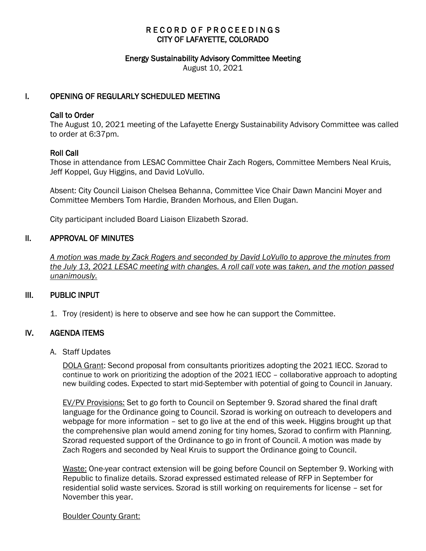## RECORD OF PROCEEDINGS CITY OF LAFAYETTE, COLORADO

#### Energy Sustainability Advisory Committee Meeting

August 10, 2021

## I. OPENING OF REGULARLY SCHEDULED MEETING

#### Call to Order

The August 10, 2021 meeting of the Lafayette Energy Sustainability Advisory Committee was called to order at 6:37pm.

## Roll Call

Those in attendance from LESAC Committee Chair Zach Rogers, Committee Members Neal Kruis, Jeff Koppel, Guy Higgins, and David LoVullo.

Absent: City Council Liaison Chelsea Behanna, Committee Vice Chair Dawn Mancini Moyer and Committee Members Tom Hardie, Branden Morhous, and Ellen Dugan.

City participant included Board Liaison Elizabeth Szorad.

## II. APPROVAL OF MINUTES

 *A motion was made by Zack Rogers and seconded by David LoVullo to approve the minutes from the July 13, 2021 LESAC meeting with changes. A roll call vote was taken, and the motion passed unanimously.*

## III. PUBLIC INPUT

1. Troy (resident) is here to observe and see how he can support the Committee.

## IV. AGENDA ITEMS

#### A. Staff Updates

DOLA Grant: Second proposal from consultants prioritizes adopting the 2021 IECC. Szorad to continue to work on prioritizing the adoption of the 2021 IECC – collaborative approach to adopting new building codes. Expected to start mid-September with potential of going to Council in January.

EV/PV Provisions: Set to go forth to Council on September 9. Szorad shared the final draft language for the Ordinance going to Council. Szorad is working on outreach to developers and webpage for more information – set to go live at the end of this week. Higgins brought up that the comprehensive plan would amend zoning for tiny homes, Szorad to confirm with Planning. Szorad requested support of the Ordinance to go in front of Council. A motion was made by Zach Rogers and seconded by Neal Kruis to support the Ordinance going to Council.

Waste: One-year contract extension will be going before Council on September 9. Working with Republic to finalize details. Szorad expressed estimated release of RFP in September for residential solid waste services. Szorad is still working on requirements for license – set for November this year.

#### Boulder County Grant: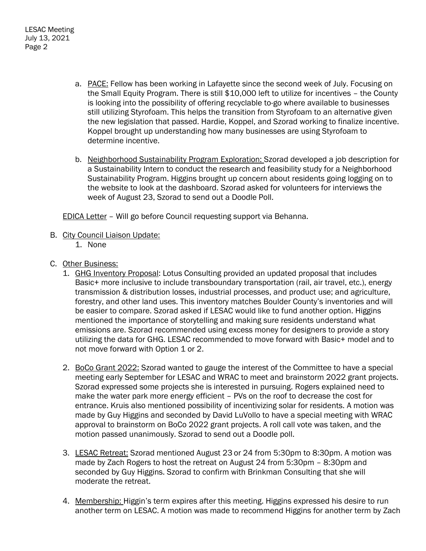- a. PACE: Fellow has been working in Lafayette since the second week of July. Focusing on the Small Equity Program. There is still \$10,000 left to utilize for incentives – the County is looking into the possibility of offering recyclable to-go where available to businesses still utilizing Styrofoam. This helps the transition from Styrofoam to an alternative given the new legislation that passed. Hardie, Koppel, and Szorad working to finalize incentive. Koppel brought up understanding how many businesses are using Styrofoam to determine incentive.
- b. Neighborhood Sustainability Program Exploration: Szorad developed a job description for a Sustainability Intern to conduct the research and feasibility study for a Neighborhood Sustainability Program. Higgins brought up concern about residents going logging on to the website to look at the dashboard. Szorad asked for volunteers for interviews the week of August 23, Szorad to send out a Doodle Poll.

EDICA Letter – Will go before Council requesting support via Behanna.

- B. City Council Liaison Update:
	- 1. None
- C. Other Business:
	- 1. GHG Inventory Proposal: Lotus Consulting provided an updated proposal that includes Basic+ more inclusive to include transboundary transportation (rail, air travel, etc.), energy transmission & distribution losses, industrial processes, and product use; and agriculture, forestry, and other land uses. This inventory matches Boulder County's inventories and will be easier to compare. Szorad asked if LESAC would like to fund another option. Higgins mentioned the importance of storytelling and making sure residents understand what emissions are. Szorad recommended using excess money for designers to provide a story utilizing the data for GHG. LESAC recommended to move forward with Basic+ model and to not move forward with Option 1 or 2.
	- 2. BoCo Grant 2022: Szorad wanted to gauge the interest of the Committee to have a special meeting early September for LESAC and WRAC to meet and brainstorm 2022 grant projects. Szorad expressed some projects she is interested in pursuing. Rogers explained need to make the water park more energy efficient – PVs on the roof to decrease the cost for entrance. Kruis also mentioned possibility of incentivizing solar for residents. A motion was made by Guy Higgins and seconded by David LuVollo to have a special meeting with WRAC approval to brainstorm on BoCo 2022 grant projects. A roll call vote was taken, and the motion passed unanimously. Szorad to send out a Doodle poll.
	- 3. LESAC Retreat: Szorad mentioned August 23 or 24 from 5:30pm to 8:30pm. A motion was made by Zach Rogers to host the retreat on August 24 from 5:30pm – 8:30pm and seconded by Guy Higgins. Szorad to confirm with Brinkman Consulting that she will moderate the retreat.
	- 4. Membership: Higgin's term expires after this meeting. Higgins expressed his desire to run another term on LESAC. A motion was made to recommend Higgins for another term by Zach